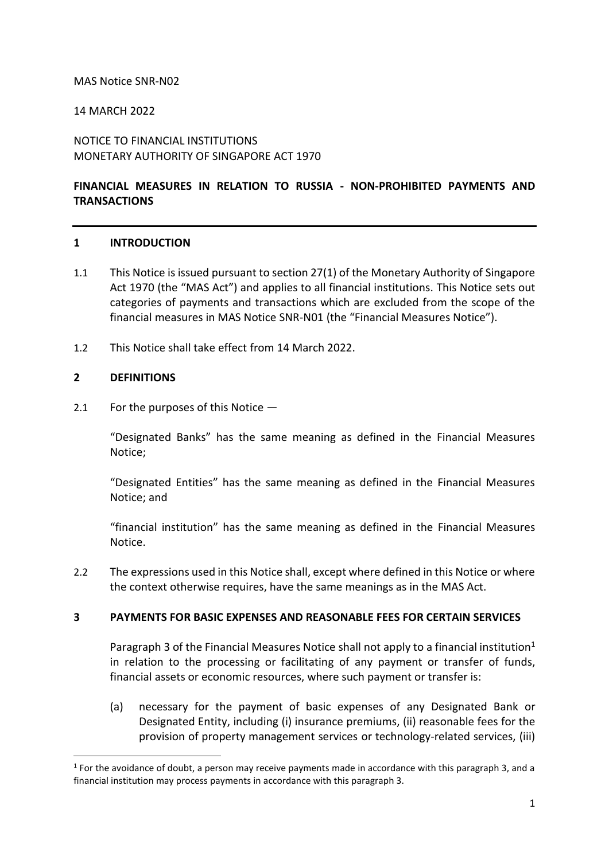### MAS Notice SNR-N02

## 14 MARCH 2022

NOTICE TO FINANCIAL INSTITUTIONS MONETARY AUTHORITY OF SINGAPORE ACT 1970

# **FINANCIAL MEASURES IN RELATION TO RUSSIA - NON-PROHIBITED PAYMENTS AND TRANSACTIONS**

### **1 INTRODUCTION**

- 1.1 This Notice is issued pursuant to section 27(1) of the Monetary Authority of Singapore Act 1970 (the "MAS Act") and applies to all financial institutions. This Notice sets out categories of payments and transactions which are excluded from the scope of the financial measures in MAS Notice SNR-N01 (the "Financial Measures Notice").
- 1.2 This Notice shall take effect from 14 March 2022.

### **2 DEFINITIONS**

2.1 For the purposes of this Notice —

"Designated Banks" has the same meaning as defined in the Financial Measures Notice;

"Designated Entities" has the same meaning as defined in the Financial Measures Notice; and

"financial institution" has the same meaning as defined in the Financial Measures Notice.

2.2 The expressions used in this Notice shall, except where defined in this Notice or where the context otherwise requires, have the same meanings as in the MAS Act.

### **3 PAYMENTS FOR BASIC EXPENSES AND REASONABLE FEES FOR CERTAIN SERVICES**

Paragraph 3 of the Financial Measures Notice shall not apply to a financial institution<sup>1</sup> in relation to the processing or facilitating of any payment or transfer of funds, financial assets or economic resources, where such payment or transfer is:

(a) necessary for the payment of basic expenses of any Designated Bank or Designated Entity, including (i) insurance premiums, (ii) reasonable fees for the provision of property management services or technology-related services, (iii)

 $<sup>1</sup>$  For the avoidance of doubt, a person may receive payments made in accordance with this paragraph 3, and a</sup> financial institution may process payments in accordance with this paragraph 3.